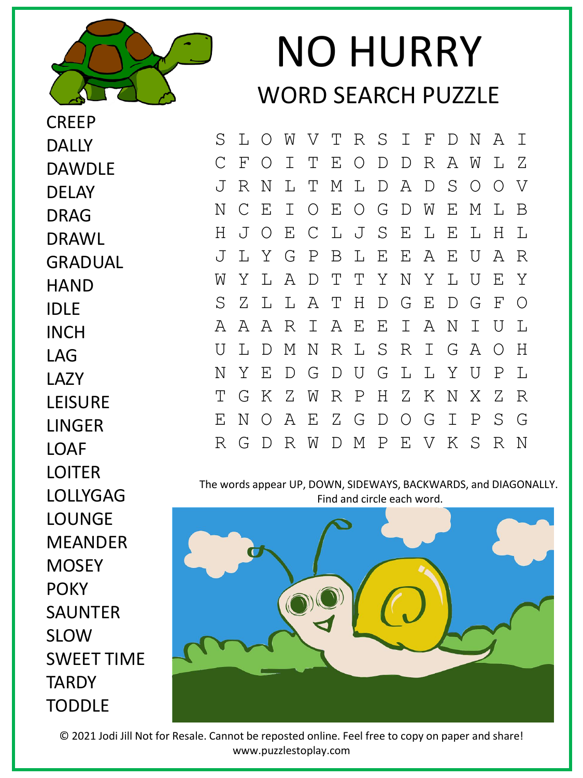

**CREEP** 

DALLY

DELAY

DRAG

DRAWL

**HAND** 

GRADUAL

DAWDLE

## NO HURRY WORD SEARCH PUZZLE

S L O W V T R S I F D N A I C F O I T E O D D R A W L Z J R N L T M L D A D S O O V N C E I O E O G D W E M L B H J O E C L J S E L E L H L J L Y G P B L E E A E U A R W Y L A D T T Y N Y L U E Y S Z L L A T H D G E D G F O A A A R I A E E I A N I U L U L D M N R L S R I G A O H N Y E D G D U G L L Y U P L T G K Z W R P H Z K N X Z R E N O A E Z G D O G I P S G R G D R W D M P E V K S R N

The words appear UP, DOWN, SIDEWAYS, BACKWARDS, and DIAGONALLY. Find and circle each word.



© 2021 Jodi Jill Not for Resale. Cannot be reposted online. Feel free to copy on paper and share! www.puzzlestoplay.com

IDLE INCH LAG LAZY LEISURE LINGER **LOAF** LOITER LOLLYGAG LOUNGE MEANDER **MOSEY POKY** SAUNTER SLOW SWEET TIME **TARDY TODDLE**